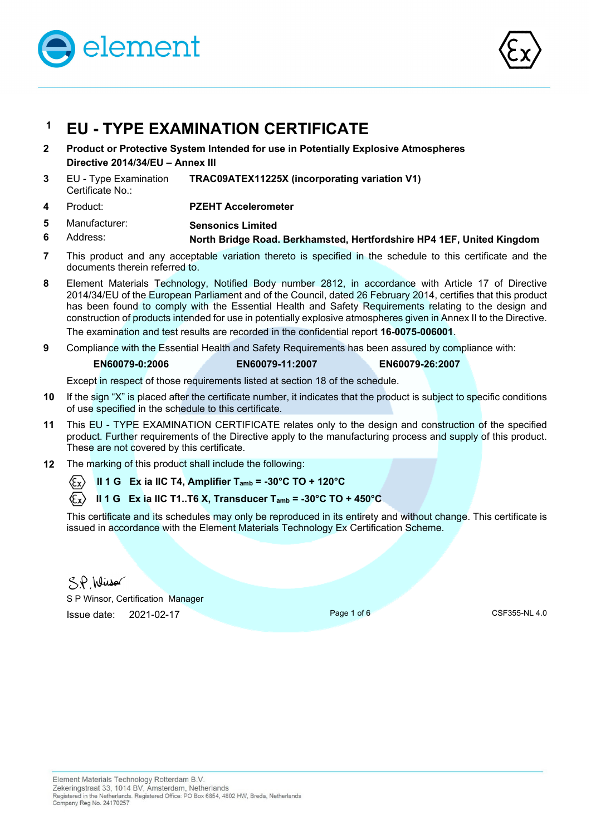

**6** 



# **1 EU - TYPE EXAMINATION CERTIFICATE**

- **2 Product or Protective System Intended for use in Potentially Explosive Atmospheres Directive 2014/34/EU – Annex III**
- **3** EU Type Examination Certificate No.: **TRAC09ATEX11225X (incorporating variation V1)**
- **4** Product: **PZEHT Accelerometer**
- **5**  Manufacturer: **Sensonics Limited** 
	- Address: **North Bridge Road. Berkhamsted, Hertfordshire HP4 1EF, United Kingdom**
- **7** This product and any acceptable variation thereto is specified in the schedule to this certificate and the documents therein referred to.
- **8** Element Materials Technology, Notified Body number 2812, in accordance with Article 17 of Directive 2014/34/EU of the European Parliament and of the Council, dated 26 February 2014, certifies that this product has been found to comply with the Essential Health and Safety Requirements relating to the design and construction of products intended for use in potentially explosive atmospheres given in Annex II to the Directive. The examination and test results are recorded in the confidential report **16-0075-006001**.

**9** Compliance with the Essential Health and Safety Requirements has been assured by compliance with:

#### **EN60079-0:2006 EN60079-11:2007 EN60079-26:2007**

Except in respect of those requirements listed at section 18 of the schedule.

- **10** If the sign "X" is placed after the certificate number, it indicates that the product is subject to specific conditions of use specified in the schedule to this certificate.
- **11** This EU TYPE EXAMINATION CERTIFICATE relates only to the design and construction of the specified product. Further requirements of the Directive apply to the manufacturing process and supply of this product. These are not covered by this certificate.
- **12** The marking of this product shall include the following:
	- $\langle \overline{\xi_{\mathbf{x}}} \rangle$  **II 1 G** Ex ia IIC T4, Amplifier T<sub>amb</sub> = -30°C TO + 120°C

### **II 1 G Ex ia IIC T1..T6 X, Transducer Tamb = -30°C TO + 450°C**

This certificate and its schedules may only be reproduced in its entirety and without change. This certificate is issued in accordance with the Element Materials Technology Ex Certification Scheme.

 $SP$  Wirsor

S P Winsor, Certification Manager **Issue date: 2021-02-17 Page 1 of 6 CSF355-NL 4.0** CSF355-NL 4.0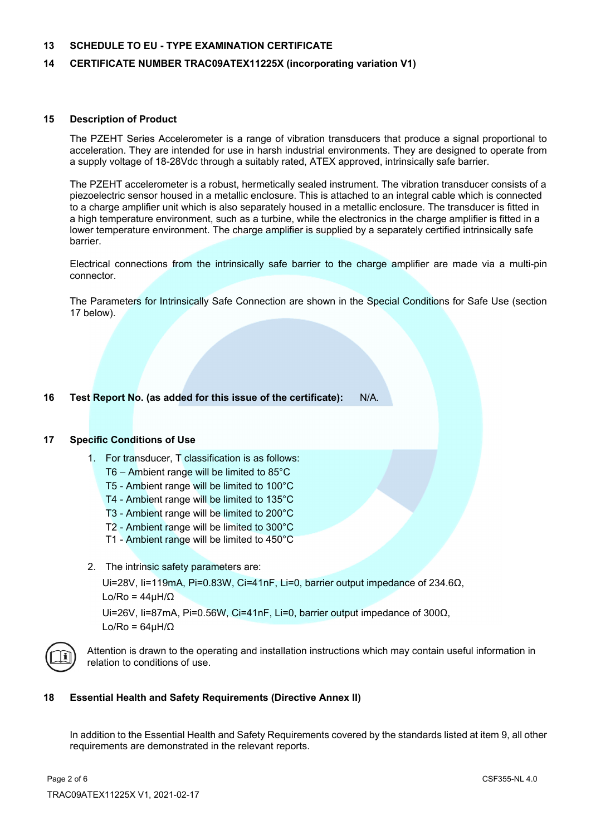#### **13 SCHEDULE TO EU - TYPE EXAMINATION CERTIFICATE**

#### **14 CERTIFICATE NUMBER TRAC09ATEX11225X (incorporating variation V1)**

#### **15 Description of Product**

 The PZEHT Series Accelerometer is a range of vibration transducers that produce a signal proportional to acceleration. They are intended for use in harsh industrial environments. They are designed to operate from a supply voltage of 18-28Vdc through a suitably rated, ATEX approved, intrinsically safe barrier.

The PZEHT accelerometer is a robust, hermetically sealed instrument. The vibration transducer consists of a piezoelectric sensor housed in a metallic enclosure. This is attached to an integral cable which is connected to a charge amplifier unit which is also separately housed in a metallic enclosure. The transducer is fitted in a high temperature environment, such as a turbine, while the electronics in the charge amplifier is fitted in a lower temperature environment. The charge amplifier is supplied by a separately certified intrinsically safe barrier.

Electrical connections from the intrinsically safe barrier to the charge amplifier are made via a multi-pin connector.

The Parameters for Intrinsically Safe Connection are shown in the Special Conditions for Safe Use (section 17 below).

### **16 Test Report No. (as added for this issue of the certificate):** N/A.

#### **17 Specific Conditions of Use**

- 1. For transducer, T classification is as follows:
	- T6 Ambient range will be limited to 85°C
	- T5 Ambient range will be limited to 100°C
	- T4 Ambient range will be limited to 135°C
	- T3 Ambient range will be limited to 200°C
	- T2 Ambient range will be limited to 300°C
	- T1 Ambient range will be limited to 450°C
- 2. The intrinsic safety parameters are:

Ui=28V, Ii=119mA, Pi=0.83W, Ci=41nF, Li=0, barrier output impedance of 234.6Ω, Lo/Ro = 44µH/Ω

Ui=26V, Ii=87mA, Pi=0.56W, Ci=41nF, Li=0, barrier output impedance of 300Ω, Lo/Ro =  $64$ uH/ $\Omega$ 



Attention is drawn to the operating and installation instructions which may contain useful information in relation to conditions of use.

#### **18 Essential Health and Safety Requirements (Directive Annex II)**

 In addition to the Essential Health and Safety Requirements covered by the standards listed at item 9, all other requirements are demonstrated in the relevant reports.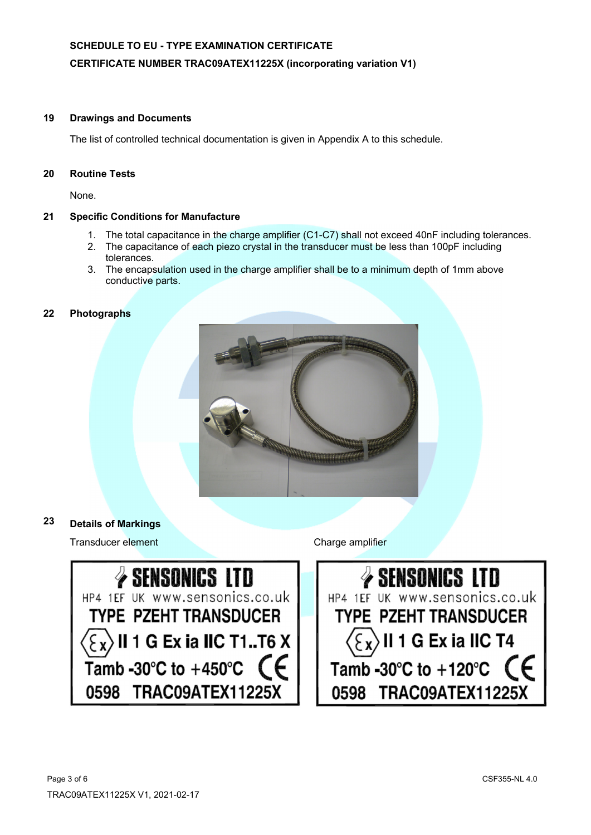# **SCHEDULE TO EU - TYPE EXAMINATION CERTIFICATE**

## **CERTIFICATE NUMBER TRAC09ATEX11225X (incorporating variation V1)**

#### **19 Drawings and Documents**

The list of controlled technical documentation is given in Appendix A to this schedule.

#### **20 Routine Tests**

None.

### **21 Specific Conditions for Manufacture**

- 1. The total capacitance in the charge amplifier (C1-C7) shall not exceed 40nF including tolerances.
- 2. The capacitance of each piezo crystal in the transducer must be less than 100pF including tolerances.
- 3. The encapsulation used in the charge amplifier shall be to a minimum depth of 1mm above conductive parts.

#### **22 Photographs**



## **23 Details of Markings**

Transducer element **Transducer** element



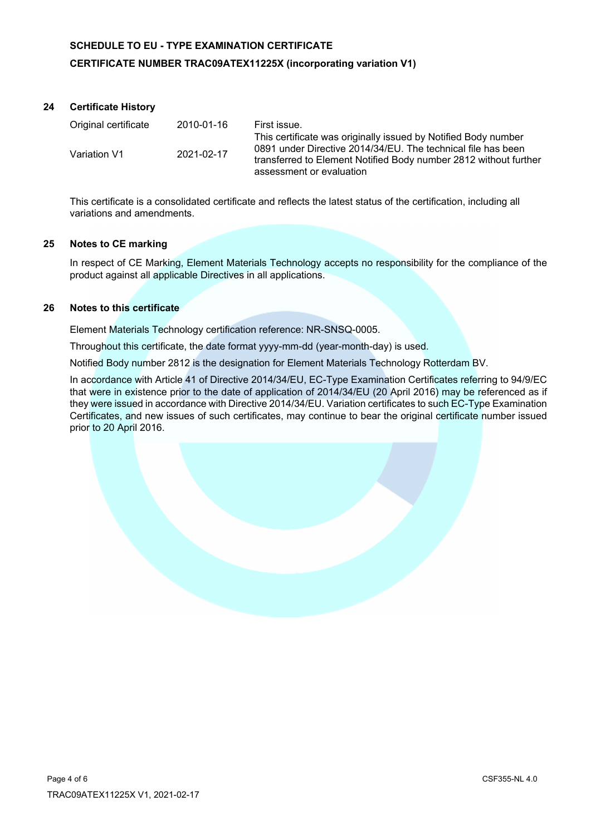# **SCHEDULE TO EU - TYPE EXAMINATION CERTIFICATE CERTIFICATE NUMBER TRAC09ATEX11225X (incorporating variation V1)**

# **24 Certificate History**

| Original certificate | 2010-01-16 | First issue.                                                                                                                                                                                                                   |
|----------------------|------------|--------------------------------------------------------------------------------------------------------------------------------------------------------------------------------------------------------------------------------|
| Variation V1         | 2021-02-17 | This certificate was originally issued by Notified Body number<br>0891 under Directive 2014/34/EU. The technical file has been<br>transferred to Element Notified Body number 2812 without further<br>assessment or evaluation |

 This certificate is a consolidated certificate and reflects the latest status of the certification, including all variations and amendments.

### **25 Notes to CE marking**

In respect of CE Marking, Element Materials Technology accepts no responsibility for the compliance of the product against all applicable Directives in all applications.

#### **26 Notes to this certificate**

Element Materials Technology certification reference: NR-SNSQ-0005.

Throughout this certificate, the date format yyyy-mm-dd (year-month-day) is used.

Notified Body number 2812 is the designation for Element Materials Technology Rotterdam BV.

In accordance with Article 41 of Directive 2014/34/EU, EC-Type Examination Certificates referring to 94/9/EC that were in existence prior to the date of application of 2014/34/EU (20 April 2016) may be referenced as if they were issued in accordance with Directive 2014/34/EU. Variation certificates to such EC-Type Examination Certificates, and new issues of such certificates, may continue to bear the original certificate number issued prior to 20 April 2016.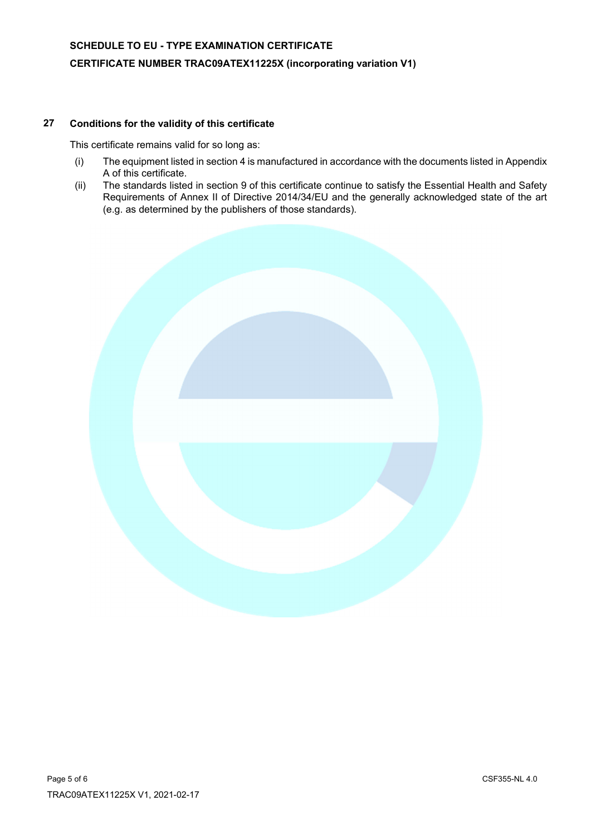# **27 Conditions for the validity of this certificate**

This certificate remains valid for so long as:

- (i) The equipment listed in section 4 is manufactured in accordance with the documents listed in Appendix A of this certificate.
- (ii) The standards listed in section 9 of this certificate continue to satisfy the Essential Health and Safety Requirements of Annex II of Directive 2014/34/EU and the generally acknowledged state of the art (e.g. as determined by the publishers of those standards).